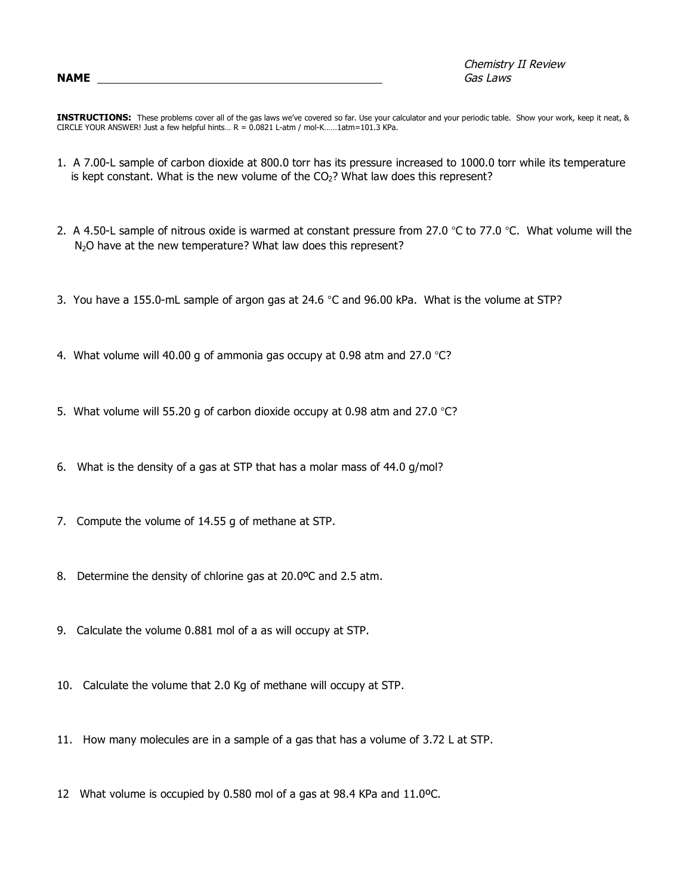Chemistry II Review **NAME** Gas Laws

**INSTRUCTIONS:** These problems cover all of the gas laws we've covered so far. Use your calculator and your periodic table. Show your work, keep it neat, & CIRCLE YOUR ANSWER! Just a few helpful hints...  $R = 0.0821$  L-atm / mol-K......1atm=101.3 KPa.

- 1. A 7.00-L sample of carbon dioxide at 800.0 torr has its pressure increased to 1000.0 torr while its temperature is kept constant. What is the new volume of the  $CO<sub>2</sub>$ ? What law does this represent?
- 2. A 4.50-L sample of nitrous oxide is warmed at constant pressure from 27.0 °C to 77.0 °C. What volume will the N<sub>2</sub>O have at the new temperature? What law does this represent?
- 3. You have a 155.0-mL sample of argon gas at 24.6 °C and 96.00 kPa. What is the volume at STP?
- 4. What volume will 40.00 g of ammonia gas occupy at 0.98 atm and 27.0 °C?
- 5. What volume will 55.20 g of carbon dioxide occupy at 0.98 atm and 27.0  $^{\circ}$ C?
- 6. What is the density of a gas at STP that has a molar mass of 44.0 g/mol?
- 7. Compute the volume of 14.55 g of methane at STP.
- 8. Determine the density of chlorine gas at 20.0ºC and 2.5 atm.
- 9. Calculate the volume 0.881 mol of a as will occupy at STP.
- 10. Calculate the volume that 2.0 Kg of methane will occupy at STP.
- 11. How many molecules are in a sample of a gas that has a volume of 3.72 L at STP.
- 12 What volume is occupied by 0.580 mol of a gas at 98.4 KPa and 11.0ºC.